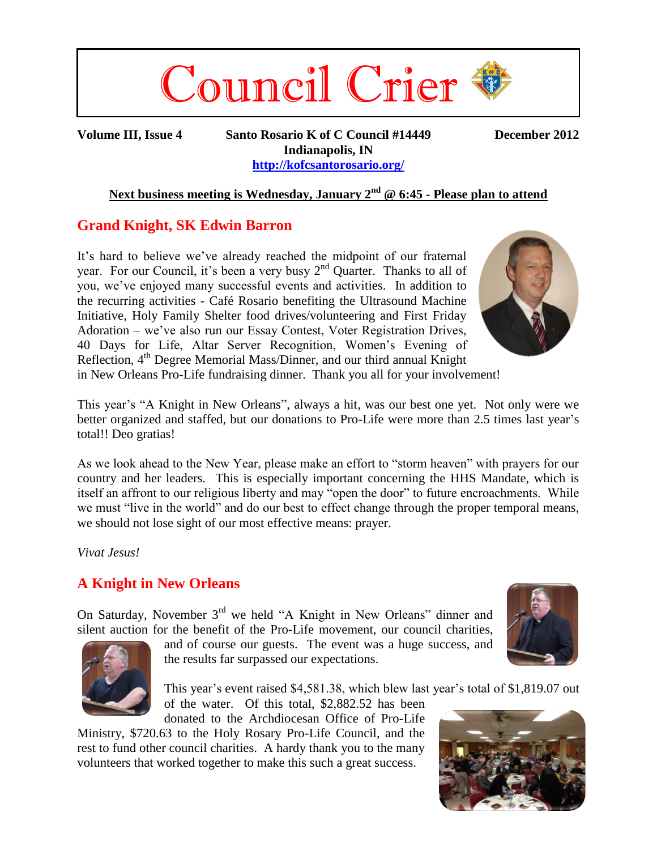

**Volume III, Issue 4 Santo Rosario K of C Council #14449 December 2012 Indianapolis, IN <http://kofcsantorosario.org/>**

### **Next business meeting is Wednesday, January 2 nd @ 6:45 - Please plan to attend**

## **Grand Knight, SK Edwin Barron**

It's hard to believe we've already reached the midpoint of our fraternal year. For our Council, it's been a very busy  $2<sup>nd</sup>$  Quarter. Thanks to all of you, we've enjoyed many successful events and activities. In addition to the recurring activities - Café Rosario benefiting the Ultrasound Machine Initiative, Holy Family Shelter food drives/volunteering and First Friday Adoration – we've also run our Essay Contest, Voter Registration Drives, 40 Days for Life, Altar Server Recognition, Women's Evening of Reflection, 4<sup>th</sup> Degree Memorial Mass/Dinner, and our third annual Knight



in New Orleans Pro-Life fundraising dinner. Thank you all for your involvement!

This year's "A Knight in New Orleans", always a hit, was our best one yet. Not only were we better organized and staffed, but our donations to Pro-Life were more than 2.5 times last year's total!! Deo gratias!

As we look ahead to the New Year, please make an effort to "storm heaven" with prayers for our country and her leaders. This is especially important concerning the HHS Mandate, which is itself an affront to our religious liberty and may "open the door" to future encroachments. While we must "live in the world" and do our best to effect change through the proper temporal means, we should not lose sight of our most effective means: prayer.

*Vivat Jesus!*

# **A Knight in New Orleans**

On Saturday, November 3<sup>rd</sup> we held "A Knight in New Orleans" dinner and silent auction for the benefit of the Pro-Life movement, our council charities,





and of course our guests. The event was a huge success, and the results far surpassed our expectations.

This year's event raised \$4,581.38, which blew last year's total of \$1,819.07 out of the water. Of this total, \$2,882.52 has been

donated to the Archdiocesan Office of Pro-Life Ministry, \$720.63 to the Holy Rosary Pro-Life Council, and the rest to fund other council charities. A hardy thank you to the many

volunteers that worked together to make this such a great success.

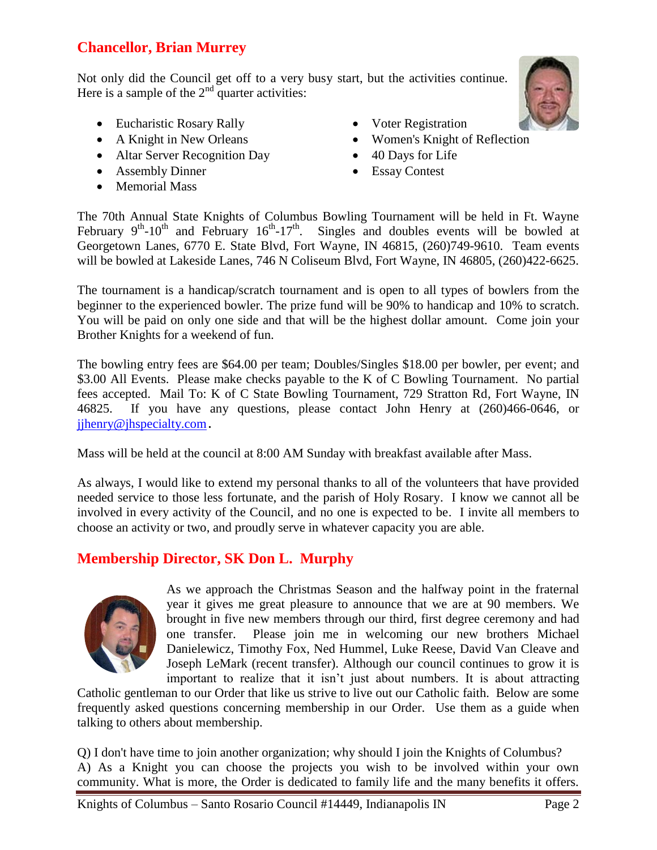# **Chancellor, Brian Murrey**

Not only did the Council get off to a very busy start, but the activities continue. Here is a sample of the  $2<sup>nd</sup>$  quarter activities:

- Eucharistic Rosary Rally
- A Knight in New Orleans
- Altar Server Recognition Day
- Assembly Dinner
- Memorial Mass
- Voter Registration
- Women's Knight of Reflection
- 40 Days for Life
- Essay Contest

The 70th Annual State Knights of Columbus Bowling Tournament will be held in Ft. Wayne February  $9^{th}$ -10<sup>th</sup> and February 16<sup>th</sup>-17<sup>th</sup>. Singles and doubles events will be bowled at Georgetown Lanes, 6770 E. State Blvd, Fort Wayne, IN 46815, (260)749-9610. Team events will be bowled at Lakeside Lanes, 746 N Coliseum Blvd, Fort Wayne, IN 46805, (260)422-6625.

The tournament is a handicap/scratch tournament and is open to all types of bowlers from the beginner to the experienced bowler. The prize fund will be 90% to handicap and 10% to scratch. You will be paid on only one side and that will be the highest dollar amount. Come join your Brother Knights for a weekend of fun.

The bowling entry fees are \$64.00 per team; Doubles/Singles \$18.00 per bowler, per event; and \$3.00 All Events. Please make checks payable to the K of C Bowling Tournament. No partial fees accepted. Mail To: K of C State Bowling Tournament, 729 Stratton Rd, Fort Wayne, IN 46825. If you have any questions, please contact John Henry at (260)466-0646, or jihenry@jhspecialty.com.

Mass will be held at the council at 8:00 AM Sunday with breakfast available after Mass.

As always, I would like to extend my personal thanks to all of the volunteers that have provided needed service to those less fortunate, and the parish of Holy Rosary. I know we cannot all be involved in every activity of the Council, and no one is expected to be. I invite all members to choose an activity or two, and proudly serve in whatever capacity you are able.

# **Membership Director, SK Don L. Murphy**



As we approach the Christmas Season and the halfway point in the fraternal year it gives me great pleasure to announce that we are at 90 members. We brought in five new members through our third, first degree ceremony and had one transfer. Please join me in welcoming our new brothers Michael Danielewicz, Timothy Fox, Ned Hummel, Luke Reese, David Van Cleave and Joseph LeMark (recent transfer). Although our council continues to grow it is important to realize that it isn't just about numbers. It is about attracting

Catholic gentleman to our Order that like us strive to live out our Catholic faith. Below are some frequently asked questions concerning membership in our Order. Use them as a guide when talking to others about membership.

Q) I don't have time to join another organization; why should I join the Knights of Columbus? A) As a Knight you can choose the projects you wish to be involved within your own community. What is more, the Order is dedicated to family life and the many benefits it offers.



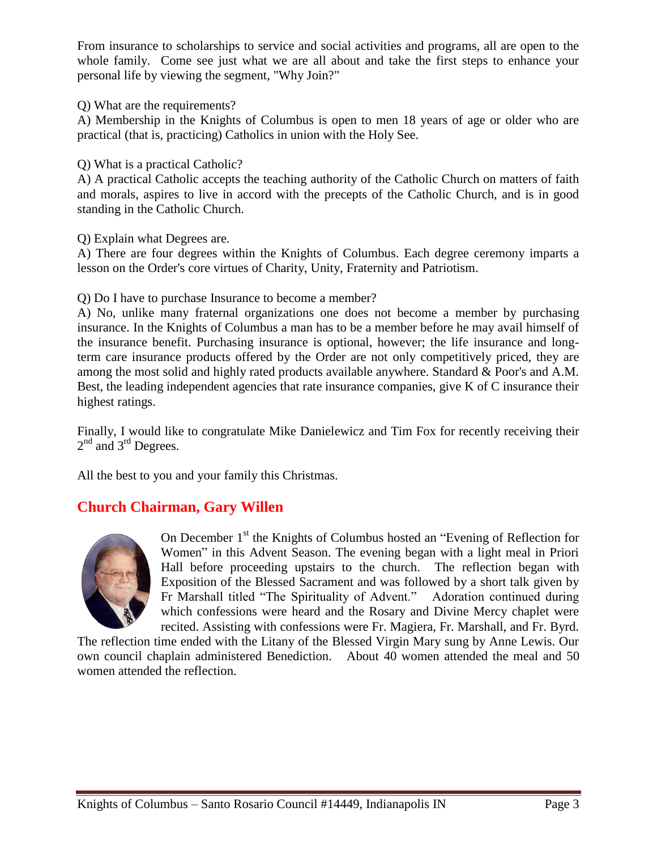From insurance to scholarships to service and social activities and programs, all are open to the whole family. Come see just what we are all about and take the first steps to enhance your personal life by viewing the segment, "Why Join?"

Q) What are the requirements?

A) Membership in the Knights of Columbus is open to men 18 years of age or older who are practical (that is, practicing) Catholics in union with the Holy See.

Q) What is a practical Catholic?

A) A practical Catholic accepts the teaching authority of the Catholic Church on matters of faith and morals, aspires to live in accord with the precepts of the Catholic Church, and is in good standing in the Catholic Church.

Q) Explain what Degrees are.

A) There are four degrees within the Knights of Columbus. Each degree ceremony imparts a lesson on the Order's core virtues of Charity, Unity, Fraternity and Patriotism.

### Q) Do I have to purchase Insurance to become a member?

A) No, unlike many fraternal organizations one does not become a member by purchasing insurance. In the Knights of Columbus a man has to be a member before he may avail himself of the insurance benefit. Purchasing insurance is optional, however; the life insurance and longterm care insurance products offered by the Order are not only competitively priced, they are among the most solid and highly rated products available anywhere. Standard & Poor's and A.M. Best, the leading independent agencies that rate insurance companies, give K of C insurance their highest ratings.

Finally, I would like to congratulate Mike Danielewicz and Tim Fox for recently receiving their  $2<sup>nd</sup>$  and  $3<sup>rd</sup>$  Degrees.

All the best to you and your family this Christmas.

# **Church Chairman, Gary Willen**



On December 1<sup>st</sup> the Knights of Columbus hosted an "Evening of Reflection for Women" in this Advent Season. The evening began with a light meal in Priori Hall before proceeding upstairs to the church. The reflection began with Exposition of the Blessed Sacrament and was followed by a short talk given by Fr Marshall titled "The Spirituality of Advent." Adoration continued during which confessions were heard and the Rosary and Divine Mercy chaplet were recited. Assisting with confessions were Fr. Magiera, Fr. Marshall, and Fr. Byrd.

The reflection time ended with the Litany of the Blessed Virgin Mary sung by Anne Lewis. Our own council chaplain administered Benediction. About 40 women attended the meal and 50 women attended the reflection.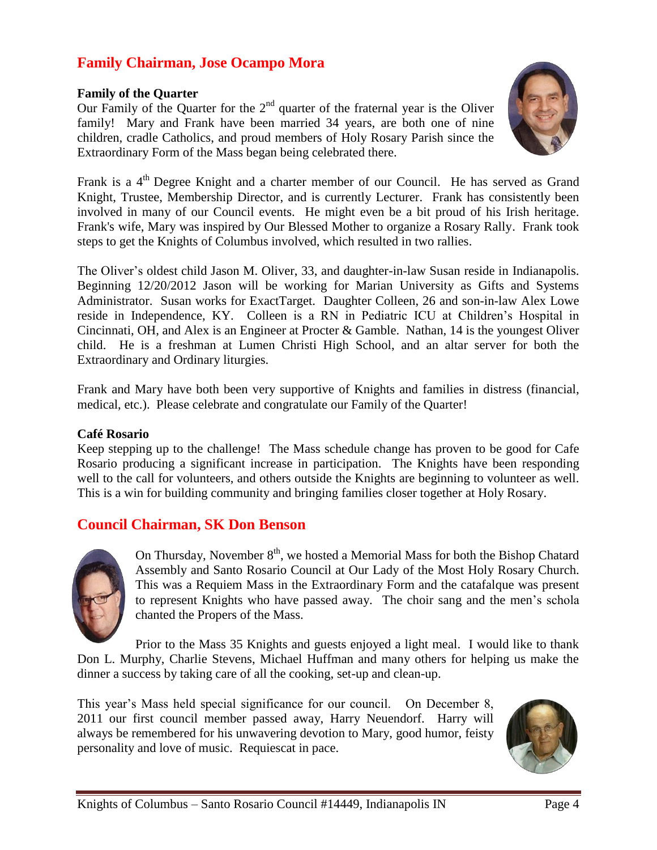# **Family Chairman, Jose Ocampo Mora**

#### **Family of the Quarter**

Our Family of the Quarter for the  $2<sup>nd</sup>$  quarter of the fraternal year is the Oliver family! Mary and Frank have been married 34 years, are both one of nine children, cradle Catholics, and proud members of Holy Rosary Parish since the Extraordinary Form of the Mass began being celebrated there.



Frank is a 4<sup>th</sup> Degree Knight and a charter member of our Council. He has served as Grand Knight, Trustee, Membership Director, and is currently Lecturer. Frank has consistently been involved in many of our Council events. He might even be a bit proud of his Irish heritage. Frank's wife, Mary was inspired by Our Blessed Mother to organize a Rosary Rally. Frank took steps to get the Knights of Columbus involved, which resulted in two rallies.

The Oliver's oldest child Jason M. Oliver, 33, and daughter-in-law Susan reside in Indianapolis. Beginning 12/20/2012 Jason will be working for Marian University as Gifts and Systems Administrator. Susan works for ExactTarget. Daughter Colleen, 26 and son-in-law Alex Lowe reside in Independence, KY. Colleen is a RN in Pediatric ICU at Children's Hospital in Cincinnati, OH, and Alex is an Engineer at Procter & Gamble. Nathan, 14 is the youngest Oliver child. He is a freshman at Lumen Christi High School, and an altar server for both the Extraordinary and Ordinary liturgies.

Frank and Mary have both been very supportive of Knights and families in distress (financial, medical, etc.). Please celebrate and congratulate our Family of the Quarter!

#### **Café Rosario**

Keep stepping up to the challenge! The Mass schedule change has proven to be good for Cafe Rosario producing a significant increase in participation. The Knights have been responding well to the call for volunteers, and others outside the Knights are beginning to volunteer as well. This is a win for building community and bringing families closer together at Holy Rosary.

### **Council Chairman, SK Don Benson**



On Thursday, November  $8<sup>th</sup>$ , we hosted a Memorial Mass for both the Bishop Chatard Assembly and Santo Rosario Council at Our Lady of the Most Holy Rosary Church. This was a Requiem Mass in the Extraordinary Form and the catafalque was present to represent Knights who have passed away. The choir sang and the men's schola chanted the Propers of the Mass.

Prior to the Mass 35 Knights and guests enjoyed a light meal. I would like to thank Don L. Murphy, Charlie Stevens, Michael Huffman and many others for helping us make the dinner a success by taking care of all the cooking, set-up and clean-up.

This year's Mass held special significance for our council. On December 8, 2011 our first council member passed away, Harry Neuendorf. Harry will always be remembered for his unwavering devotion to Mary, good humor, feisty personality and love of music. Requiescat in pace.

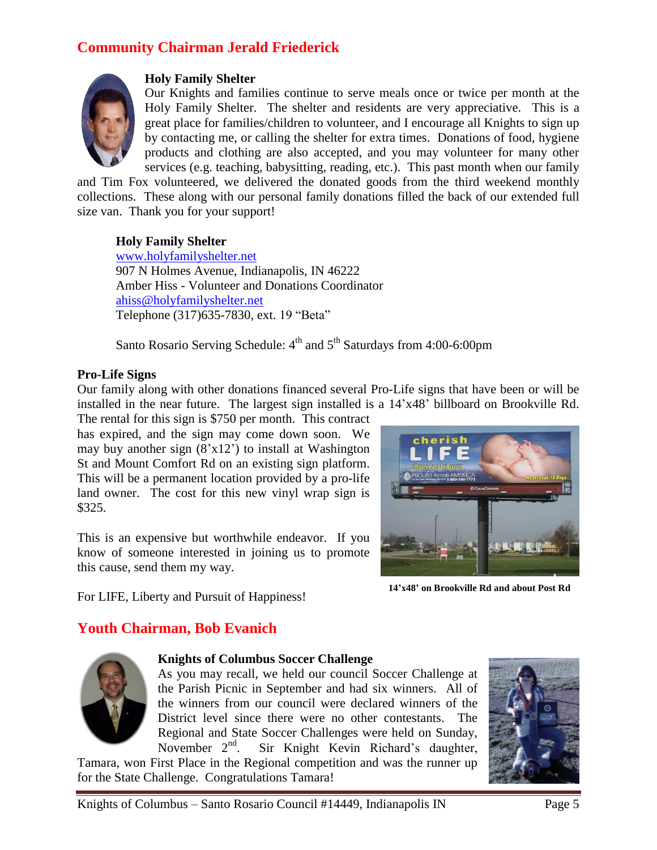# **Community Chairman Jerald Friederick**



### **Holy Family Shelter**

Our Knights and families continue to serve meals once or twice per month at the Holy Family Shelter. The shelter and residents are very appreciative. This is a great place for families/children to volunteer, and I encourage all Knights to sign up by contacting me, or calling the shelter for extra times. Donations of food, hygiene products and clothing are also accepted, and you may volunteer for many other services (e.g. teaching, babysitting, reading, etc.). This past month when our family

and Tim Fox volunteered, we delivered the donated goods from the third weekend monthly collections. These along with our personal family donations filled the back of our extended full size van. Thank you for your support!

#### **Holy Family Shelter**

[www.holyfamilyshelter.net](http://www.holyfamilyshelter.net/) 907 N Holmes Avenue, Indianapolis, IN 46222 Amber Hiss - Volunteer and Donations Coordinator [ahiss@holyfamilyshelter.net](mailto:ahiss@holyfamilyshelter.net) Telephone (317)635-7830, ext. 19 "Beta"

Santo Rosario Serving Schedule: 4<sup>th</sup> and 5<sup>th</sup> Saturdays from 4:00-6:00pm

#### **Pro-Life Signs**

Our family along with other donations financed several Pro-Life signs that have been or will be installed in the near future. The largest sign installed is a 14'x48' billboard on Brookville Rd.

The rental for this sign is \$750 per month. This contract has expired, and the sign may come down soon. We may buy another sign  $(8'x12')$  to install at Washington St and Mount Comfort Rd on an existing sign platform. This will be a permanent location provided by a pro-life land owner. The cost for this new vinyl wrap sign is \$325.

This is an expensive but worthwhile endeavor. If you know of someone interested in joining us to promote this cause, send them my way.

For LIFE, Liberty and Pursuit of Happiness!

**14'x48' on Brookville Rd and about Post Rd**

# **Youth Chairman, Bob Evanich**



#### **Knights of Columbus Soccer Challenge**

As you may recall, we held our council Soccer Challenge at the Parish Picnic in September and had six winners. All of the winners from our council were declared winners of the District level since there were no other contestants. The Regional and State Soccer Challenges were held on Sunday, November  $2<sup>nd</sup>$ . Sir Knight Kevin Richard's daughter,

Tamara, won First Place in the Regional competition and was the runner up for the State Challenge. Congratulations Tamara!

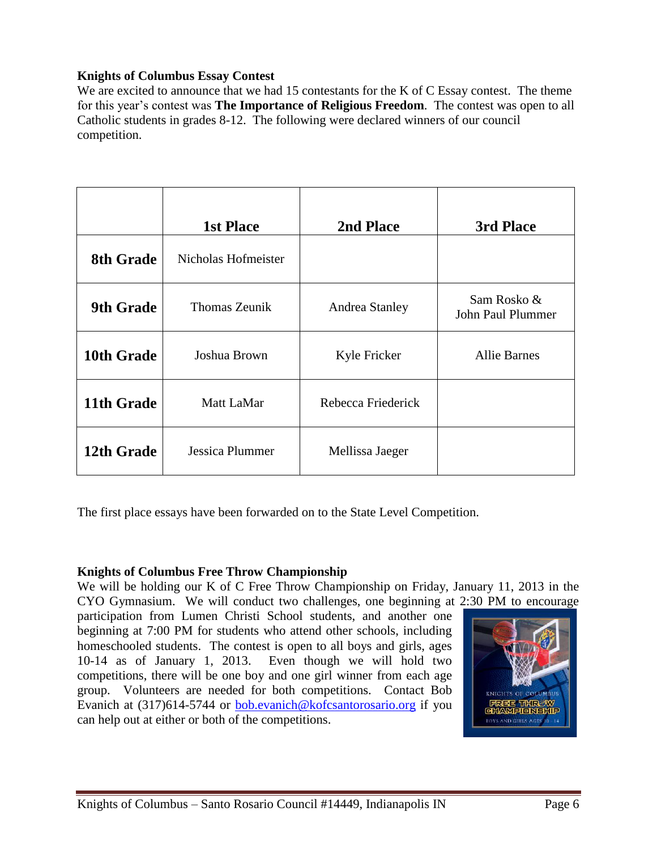### **Knights of Columbus Essay Contest**

We are excited to announce that we had 15 contestants for the K of C Essay contest. The theme for this year's contest was **The Importance of Religious Freedom**. The contest was open to all Catholic students in grades 8-12. The following were declared winners of our council competition.

|                  | <b>1st Place</b>     | 2nd Place             | 3rd Place                        |
|------------------|----------------------|-----------------------|----------------------------------|
| <b>8th Grade</b> | Nicholas Hofmeister  |                       |                                  |
| <b>9th Grade</b> | <b>Thomas Zeunik</b> | <b>Andrea Stanley</b> | Sam Rosko &<br>John Paul Plummer |
| 10th Grade       | Joshua Brown         | Kyle Fricker          | <b>Allie Barnes</b>              |
| 11th Grade       | Matt LaMar           | Rebecca Friederick    |                                  |
| 12th Grade       | Jessica Plummer      | Mellissa Jaeger       |                                  |

The first place essays have been forwarded on to the State Level Competition.

### **Knights of Columbus Free Throw Championship**

We will be holding our K of C Free Throw Championship on Friday, January 11, 2013 in the CYO Gymnasium. We will conduct two challenges, one beginning at 2:30 PM to encourage

participation from Lumen Christi School students, and another one beginning at 7:00 PM for students who attend other schools, including homeschooled students. The contest is open to all boys and girls, ages 10-14 as of January 1, 2013. Even though we will hold two competitions, there will be one boy and one girl winner from each age group. Volunteers are needed for both competitions. Contact Bob Evanich at (317)614-5744 or [bob.evanich@kofcsantorosario.org](mailto:bob.evanich@kofcsantorosario.org) if you can help out at either or both of the competitions.

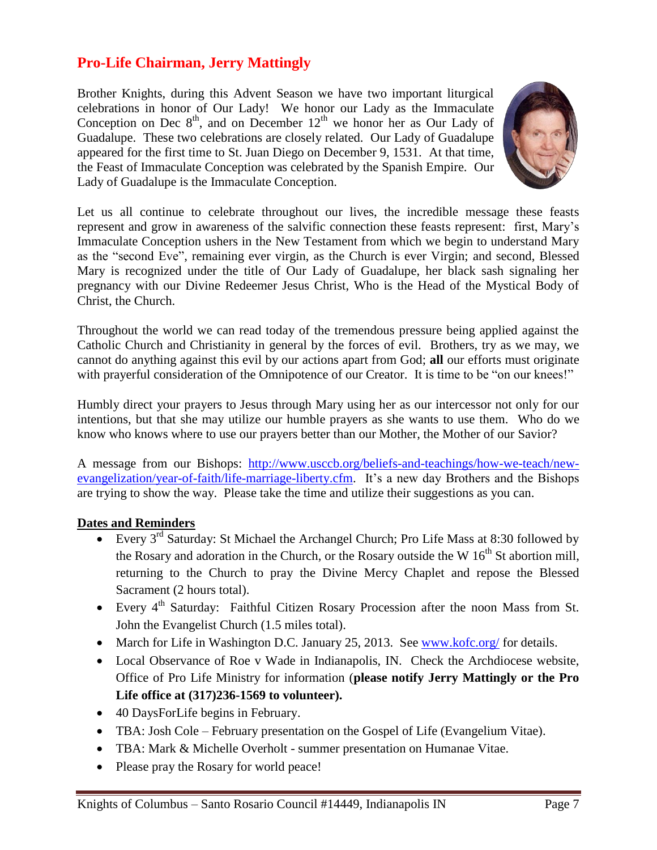## **Pro-Life Chairman, Jerry Mattingly**

Brother Knights, during this Advent Season we have two important liturgical celebrations in honor of Our Lady! We honor our Lady as the Immaculate Conception on Dec  $8<sup>th</sup>$ , and on December 12<sup>th</sup> we honor her as Our Lady of Guadalupe. These two celebrations are closely related. Our Lady of Guadalupe appeared for the first time to St. Juan Diego on December 9, 1531. At that time, the Feast of Immaculate Conception was celebrated by the Spanish Empire. Our Lady of Guadalupe is the Immaculate Conception.



Let us all continue to celebrate throughout our lives, the incredible message these feasts represent and grow in awareness of the salvific connection these feasts represent: first, Mary's Immaculate Conception ushers in the New Testament from which we begin to understand Mary as the "second Eve", remaining ever virgin, as the Church is ever Virgin; and second, Blessed Mary is recognized under the title of Our Lady of Guadalupe, her black sash signaling her pregnancy with our Divine Redeemer Jesus Christ, Who is the Head of the Mystical Body of Christ, the Church.

Throughout the world we can read today of the tremendous pressure being applied against the Catholic Church and Christianity in general by the forces of evil. Brothers, try as we may, we cannot do anything against this evil by our actions apart from God; **all** our efforts must originate with prayerful consideration of the Omnipotence of our Creator. It is time to be "on our knees!"

Humbly direct your prayers to Jesus through Mary using her as our intercessor not only for our intentions, but that she may utilize our humble prayers as she wants to use them. Who do we know who knows where to use our prayers better than our Mother, the Mother of our Savior?

A message from our Bishops: [http://www.usccb.org/beliefs-and-teachings/how-we-teach/new](http://www.usccb.org/beliefs-and-teachings/how-we-teach/new-evangelization/year-of-faith/life-marriage-liberty.cfm)[evangelization/year-of-faith/life-marriage-liberty.cfm.](http://www.usccb.org/beliefs-and-teachings/how-we-teach/new-evangelization/year-of-faith/life-marriage-liberty.cfm) It's a new day Brothers and the Bishops are trying to show the way. Please take the time and utilize their suggestions as you can.

### **Dates and Reminders**

- Every  $3^{rd}$  Saturday: St Michael the Archangel Church; Pro Life Mass at 8:30 followed by the Rosary and adoration in the Church, or the Rosary outside the W  $16<sup>th</sup>$  St abortion mill, returning to the Church to pray the Divine Mercy Chaplet and repose the Blessed Sacrament (2 hours total).
- Every 4<sup>th</sup> Saturday: Faithful Citizen Rosary Procession after the noon Mass from St. John the Evangelist Church (1.5 miles total).
- March for Life in Washington D.C. January 25, 2013. See [www.kofc.org/](https://www.kofc.org/) for details.
- Local Observance of Roe v Wade in Indianapolis, IN. Check the Archdiocese website, Office of Pro Life Ministry for information (**please notify Jerry Mattingly or the Pro Life office at (317)236-1569 to volunteer).**
- 40 DaysForLife begins in February.
- TBA: Josh Cole February presentation on the Gospel of Life (Evangelium Vitae).
- TBA: Mark & Michelle Overholt summer presentation on Humanae Vitae.
- Please pray the Rosary for world peace!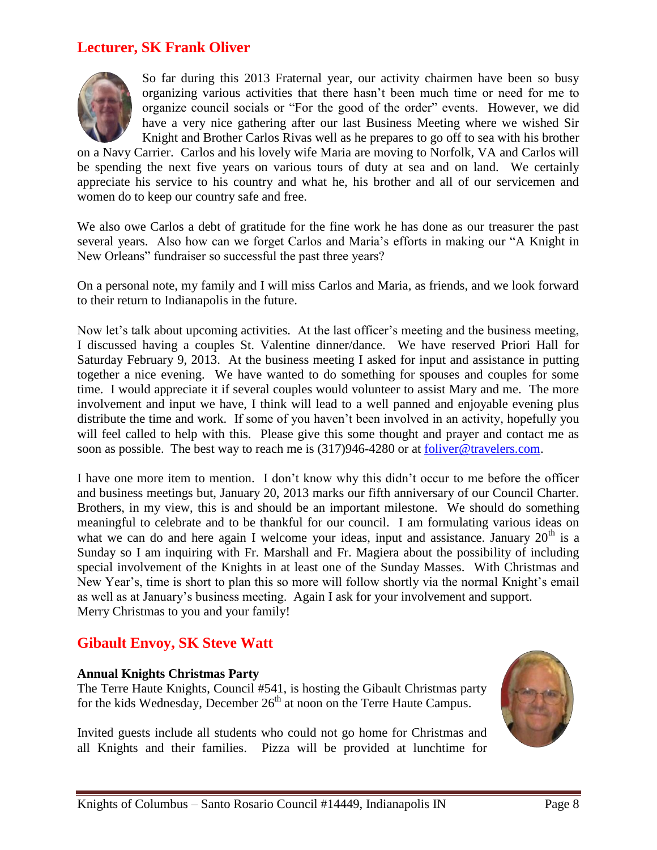### **Lecturer, SK Frank Oliver**



So far during this 2013 Fraternal year, our activity chairmen have been so busy organizing various activities that there hasn't been much time or need for me to organize council socials or "For the good of the order" events. However, we did have a very nice gathering after our last Business Meeting where we wished Sir Knight and Brother Carlos Rivas well as he prepares to go off to sea with his brother

on a Navy Carrier. Carlos and his lovely wife Maria are moving to Norfolk, VA and Carlos will be spending the next five years on various tours of duty at sea and on land. We certainly appreciate his service to his country and what he, his brother and all of our servicemen and women do to keep our country safe and free.

We also owe Carlos a debt of gratitude for the fine work he has done as our treasurer the past several years. Also how can we forget Carlos and Maria's efforts in making our "A Knight in New Orleans" fundraiser so successful the past three years?

On a personal note, my family and I will miss Carlos and Maria, as friends, and we look forward to their return to Indianapolis in the future.

Now let's talk about upcoming activities. At the last officer's meeting and the business meeting, I discussed having a couples St. Valentine dinner/dance. We have reserved Priori Hall for Saturday February 9, 2013. At the business meeting I asked for input and assistance in putting together a nice evening. We have wanted to do something for spouses and couples for some time. I would appreciate it if several couples would volunteer to assist Mary and me. The more involvement and input we have, I think will lead to a well panned and enjoyable evening plus distribute the time and work. If some of you haven't been involved in an activity, hopefully you will feel called to help with this. Please give this some thought and prayer and contact me as soon as possible. The best way to reach me is (317)946-4280 or at [foliver@travelers.com.](mailto:foliver@travelers.com)

I have one more item to mention. I don't know why this didn't occur to me before the officer and business meetings but, January 20, 2013 marks our fifth anniversary of our Council Charter. Brothers, in my view, this is and should be an important milestone. We should do something meaningful to celebrate and to be thankful for our council. I am formulating various ideas on what we can do and here again I welcome your ideas, input and assistance. January  $20<sup>th</sup>$  is a Sunday so I am inquiring with Fr. Marshall and Fr. Magiera about the possibility of including special involvement of the Knights in at least one of the Sunday Masses. With Christmas and New Year's, time is short to plan this so more will follow shortly via the normal Knight's email as well as at January's business meeting. Again I ask for your involvement and support. Merry Christmas to you and your family!

### **Gibault Envoy, SK Steve Watt**

#### **Annual Knights Christmas Party**

The Terre Haute Knights, Council #541, is hosting the Gibault Christmas party for the kids Wednesday, December 26<sup>th</sup> at noon on the Terre Haute Campus.

Invited guests include all students who could not go home for Christmas and all Knights and their families. Pizza will be provided at lunchtime for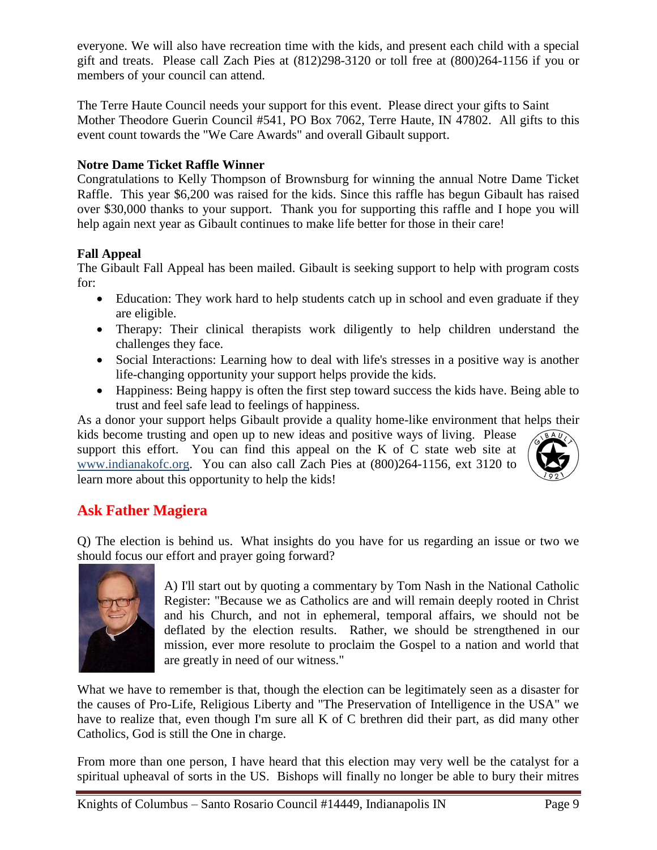everyone. We will also have recreation time with the kids, and present each child with a special gift and treats. Please call Zach Pies at (812)298-3120 or toll free at (800)264-1156 if you or members of your council can attend.

The Terre Haute Council needs your support for this event. Please direct your gifts to Saint Mother Theodore Guerin Council #541, PO Box 7062, Terre Haute, IN 47802. All gifts to this event count towards the "We Care Awards" and overall Gibault support.

### **Notre Dame Ticket Raffle Winner**

Congratulations to Kelly Thompson of Brownsburg for winning the annual Notre Dame Ticket Raffle. This year \$6,200 was raised for the kids. Since this raffle has begun Gibault has raised over \$30,000 thanks to your support. Thank you for supporting this raffle and I hope you will help again next year as Gibault continues to make life better for those in their care!

### **Fall Appeal**

The Gibault Fall Appeal has been mailed. Gibault is seeking support to help with program costs for:

- Education: They work hard to help students catch up in school and even graduate if they are eligible.
- Therapy: Their clinical therapists work diligently to help children understand the challenges they face.
- Social Interactions: Learning how to deal with life's stresses in a positive way is another life-changing opportunity your support helps provide the kids.
- Happiness: Being happy is often the first step toward success the kids have. Being able to trust and feel safe lead to feelings of happiness.

As a donor your support helps Gibault provide a quality home-like environment that helps their kids become trusting and open up to new ideas and positive ways of living. Please support this effort. You can find this appeal on the K of C state web site at [www.indianakofc.org.](http://www.indianakofc.org/) You can also call Zach Pies at (800)264-1156, ext 3120 to learn more about this opportunity to help the kids!



# **Ask Father Magiera**

Q) The election is behind us. What insights do you have for us regarding an issue or two we should focus our effort and prayer going forward?



A) I'll start out by quoting a commentary by Tom Nash in the National Catholic Register: "Because we as Catholics are and will remain deeply rooted in Christ and his Church, and not in ephemeral, temporal affairs, we should not be deflated by the election results. Rather, we should be strengthened in our mission, ever more resolute to proclaim the Gospel to a nation and world that are greatly in need of our witness."

What we have to remember is that, though the election can be legitimately seen as a disaster for the causes of Pro-Life, Religious Liberty and "The Preservation of Intelligence in the USA" we have to realize that, even though I'm sure all K of C brethren did their part, as did many other Catholics, God is still the One in charge.

From more than one person, I have heard that this election may very well be the catalyst for a spiritual upheaval of sorts in the US. Bishops will finally no longer be able to bury their mitres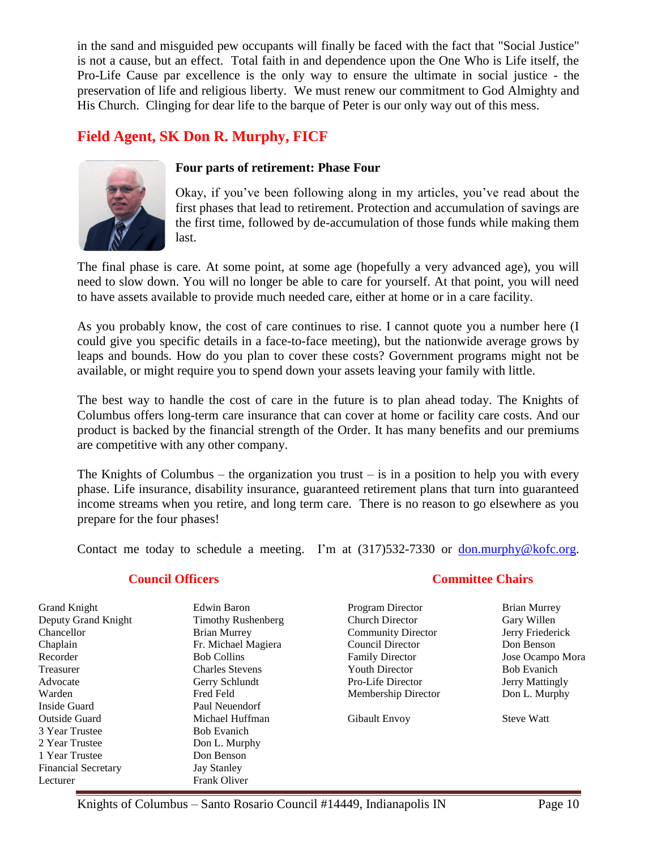in the sand and misguided pew occupants will finally be faced with the fact that "Social Justice" is not a cause, but an effect. Total faith in and dependence upon the One Who is Life itself, the Pro-Life Cause par excellence is the only way to ensure the ultimate in social justice - the preservation of life and religious liberty. We must renew our commitment to God Almighty and His Church. Clinging for dear life to the barque of Peter is our only way out of this mess.

# **Field Agent, SK Don R. Murphy, FICF**



#### **Four parts of retirement: Phase Four**

Okay, if you've been following along in my articles, you've read about the first phases that lead to retirement. Protection and accumulation of savings are the first time, followed by de-accumulation of those funds while making them last.

The final phase is care. At some point, at some age (hopefully a very advanced age), you will need to slow down. You will no longer be able to care for yourself. At that point, you will need to have assets available to provide much needed care, either at home or in a care facility.

As you probably know, the cost of care continues to rise. I cannot quote you a number here (I could give you specific details in a face-to-face meeting), but the nationwide average grows by leaps and bounds. How do you plan to cover these costs? Government programs might not be available, or might require you to spend down your assets leaving your family with little.

The best way to handle the cost of care in the future is to plan ahead today. The Knights of Columbus offers long-term care insurance that can cover at home or facility care costs. And our product is backed by the financial strength of the Order. It has many benefits and our premiums are competitive with any other company.

The Knights of Columbus – the organization you trust – is in a position to help you with every phase. Life insurance, disability insurance, guaranteed retirement plans that turn into guaranteed income streams when you retire, and long term care. There is no reason to go elsewhere as you prepare for the four phases!

Contact me today to schedule a meeting. I'm at (317)532-7330 or [don.murphy@kofc.org.](mailto:don.murphy@kofc.org)

#### **Council Officers**

| <b>Grand Knight</b>        | Edwin Baron               | Program Director          |
|----------------------------|---------------------------|---------------------------|
| Deputy Grand Knight        | <b>Timothy Rushenberg</b> | Church Director           |
| Chancellor                 | <b>Brian Murrey</b>       | <b>Community Director</b> |
| Chaplain                   | Fr. Michael Magiera       | Council Director          |
| Recorder                   | <b>Bob Collins</b>        | <b>Family Director</b>    |
| Treasurer                  | <b>Charles Stevens</b>    | <b>Youth Director</b>     |
| Advocate                   | Gerry Schlundt            | Pro-Life Director         |
| Warden                     | Fred Feld                 | Membership Director       |
| Inside Guard               | Paul Neuendorf            |                           |
| <b>Outside Guard</b>       | Michael Huffman           | Gibault Envoy             |
| 3 Year Trustee             | <b>Bob Evanich</b>        |                           |
| 2 Year Trustee             | Don L. Murphy             |                           |
| 1 Year Trustee             | Don Benson                |                           |
| <b>Financial Secretary</b> | <b>Jay Stanley</b>        |                           |
| Lecturer                   | <b>Frank Oliver</b>       |                           |

### **Committee Chairs**

Brian Murrey Gary Willen Jerry Friederick Don Benson Jose Ocampo Mora Bob Evanich Jerry Mattingly Don L. Murphy

Steve Watt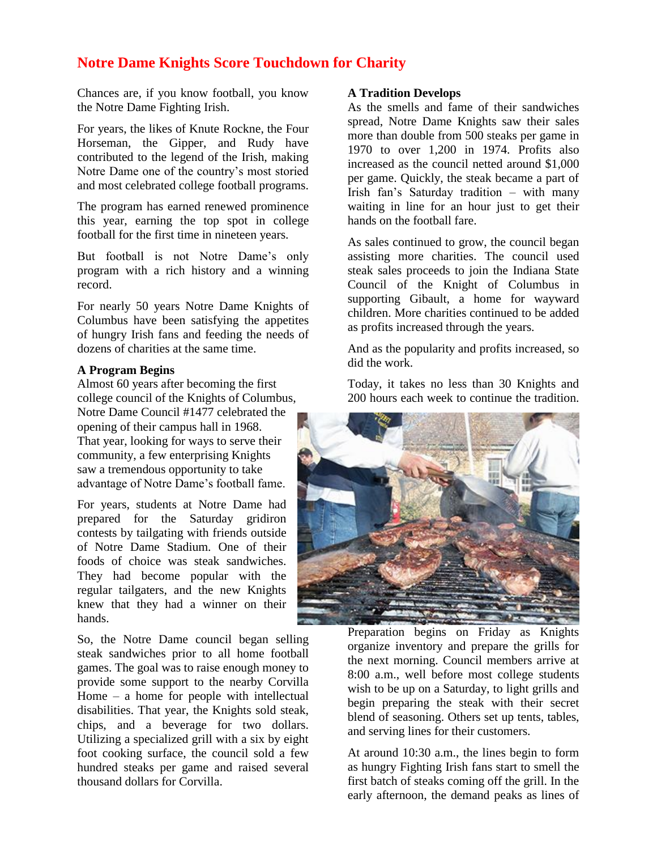### **Notre Dame Knights Score Touchdown for Charity**

Chances are, if you know football, you know the Notre Dame Fighting Irish.

For years, the likes of Knute Rockne, the Four Horseman, the Gipper, and Rudy have contributed to the legend of the Irish, making Notre Dame one of the country's most storied and most celebrated college football programs.

The program has earned renewed prominence this year, earning the top spot in college football for the first time in nineteen years.

But football is not Notre Dame's only program with a rich history and a winning record.

For nearly 50 years Notre Dame Knights of Columbus have been satisfying the appetites of hungry Irish fans and feeding the needs of dozens of charities at the same time.

#### **A Program Begins**

Almost 60 years after becoming the first college council of the Knights of Columbus, Notre Dame Council #1477 celebrated the opening of their campus hall in 1968. That year, looking for ways to serve their community, a few enterprising Knights saw a tremendous opportunity to take advantage of Notre Dame's football fame.

For years, students at Notre Dame had prepared for the Saturday gridiron contests by tailgating with friends outside of Notre Dame Stadium. One of their foods of choice was steak sandwiches. They had become popular with the regular tailgaters, and the new Knights knew that they had a winner on their hands.

So, the Notre Dame council began selling steak sandwiches prior to all home football games. The goal was to raise enough money to provide some support to the nearby Corvilla Home – a home for people with intellectual disabilities. That year, the Knights sold steak, chips, and a beverage for two dollars. Utilizing a specialized grill with a six by eight foot cooking surface, the council sold a few hundred steaks per game and raised several thousand dollars for Corvilla.

#### **A Tradition Develops**

As the smells and fame of their sandwiches spread, Notre Dame Knights saw their sales more than double from 500 steaks per game in 1970 to over 1,200 in 1974. Profits also increased as the council netted around \$1,000 per game. Quickly, the steak became a part of Irish fan's Saturday tradition – with many waiting in line for an hour just to get their hands on the football fare.

As sales continued to grow, the council began assisting more charities. The council used steak sales proceeds to join the Indiana State Council of the Knight of Columbus in supporting Gibault, a home for wayward children. More charities continued to be added as profits increased through the years.

And as the popularity and profits increased, so did the work.

Today, it takes no less than 30 Knights and 200 hours each week to continue the tradition.



Preparation begins on Friday as Knights organize inventory and prepare the grills for the next morning. Council members arrive at 8:00 a.m., well before most college students wish to be up on a Saturday, to light grills and begin preparing the steak with their secret blend of seasoning. Others set up tents, tables, and serving lines for their customers.

At around 10:30 a.m., the lines begin to form as hungry Fighting Irish fans start to smell the first batch of steaks coming off the grill. In the early afternoon, the demand peaks as lines of